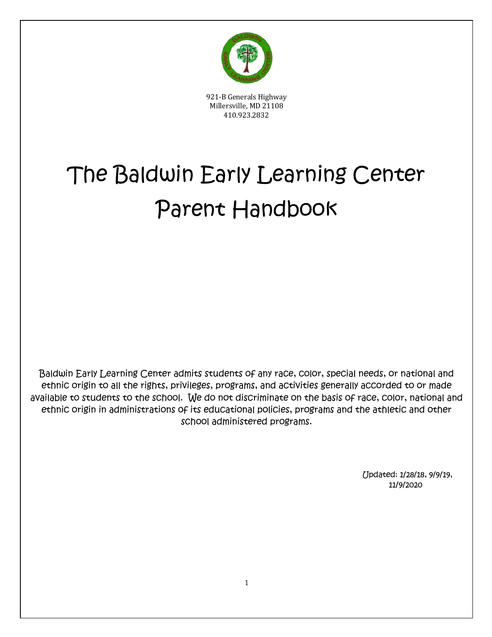

921-B Generals Highway Millersville, MD 21108 410.923.2832

# The Baldwin Early Learning Center Parent Handbook

Baldwin Early Learning Center admits students of any race, color, special needs, or national and ethnic origin to all the rights, privileges, programs, and activities generally accorded to or made available to students to the school. We do not discriminate on the basis of race, color, national and ethnic origin in administrations of its educational policies, programs and the athletic and other school administered programs.

> Updated: 1/28/18, 9/9/19, 11/9/2020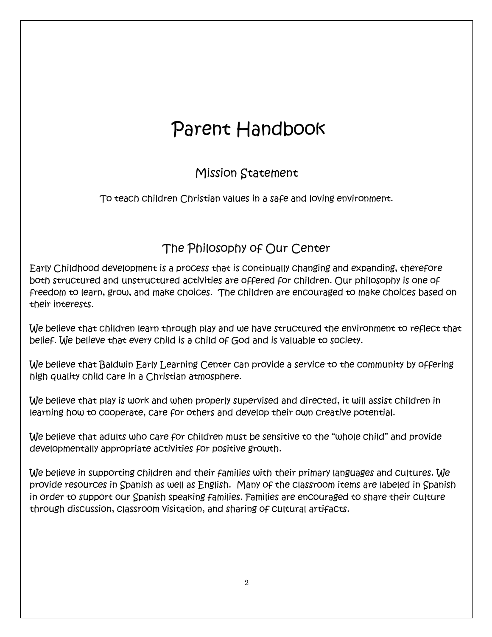# Parent Handbook

### Mission Statement

To teach children Christian values in a safe and loving environment.

### The Philosophy of Our Center

Early Childhood development is a process that is continually changing and expanding, therefore both structured and unstructured activities are offered for children. Our philosophy is one of freedom to learn, grow, and make choices. The children are encouraged to make choices based on their interests.

We believe that children learn through play and we have structured the environment to reflect that belief. We believe that every child is a child of God and is valuable to society.

We believe that Baldwin Early Learning Center can provide a service to the community by offering high quality child care in a Christian atmosphere.

We believe that play is work and when properly supervised and directed, it will assist children in learning how to cooperate, care for others and develop their own creative potential.

We believe that adults who care for children must be sensitive to the "whole child" and provide developmentally appropriate activities for positive growth.

We believe in supporting children and their families with their primary languages and cultures. We provide resources in Spanish as well as English. Many of the classroom items are labeled in Spanish in order to support our Spanish speaking families. Families are encouraged to share their culture through discussion, classroom visitation, and sharing of cultural artifacts.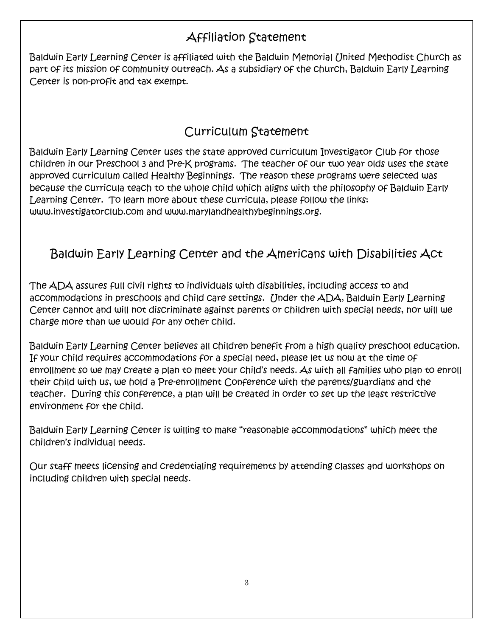### Affiliation Statement

Baldwin Early Learning Center is affiliated with the Baldwin Memorial United Methodist Church as part of its mission of community outreach. As a subsidiary of the church, Baldwin Early Learning Center is non-profit and tax exempt.

### Curriculum Statement

Baldwin Early Learning Center uses the state approved curriculum Investigator Club for those children in our Preschool 3 and Pre-K programs. The teacher of our two year olds uses the state approved curriculum called Healthy Beginnings. The reason these programs were selected was because the curricula teach to the whole child which aligns with the philosophy of Baldwin Early Learning Center. To learn more about these curricula, please follow the links: www.investigatorclub.com and www.marylandhealthybeginnings.org.

### Baldwin Early Learning Center and the Americans with Disabilities Act

The ADA assures full civil rights to individuals with disabilities, including access to and accommodations in preschools and child care settings. Under the ADA, Baldwin Early Learning Center cannot and will not discriminate against parents or children with special needs, nor will we charge more than we would for any other child.

Baldwin Early Learning Center believes all children benefit from a high quality preschool education. If your child requires accommodations for a special need, please let us now at the time of enrollment so we may create a plan to meet your child's needs. As with all families who plan to enroll their child with us, we hold a Pre-enrollment Conference with the parents/guardians and the teacher. During this conference, a plan will be created in order to set up the least restrictive environment for the child.

Baldwin Early Learning Center is willing to make "reasonable accommodations" which meet the children's individual needs.

Our staff meets licensing and credentialing requirements by attending classes and workshops on including children with special needs.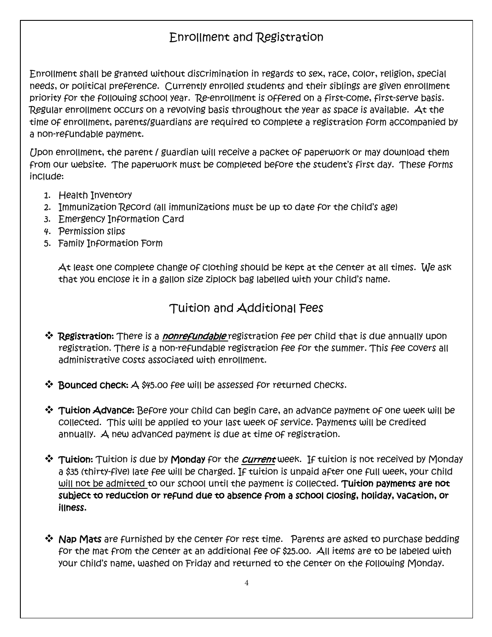### Enrollment and Registration

Enrollment shall be granted without discrimination in regards to sex, race, color, religion, special needs, or political preference. Currently enrolled students and their siblings are given enrollment priority for the following school year. Re-enrollment is offered on a first-come, first-serve basis. Regular enrollment occurs on a revolving basis throughout the year as space is available. At the time of enrollment, parents/guardians are required to complete a registration form accompanied by a non-refundable payment.

Upon enrollment, the parent / guardian will receive a packet of paperwork or may download them from our website. The paperwork must be completed before the student's first day. These forms include:

- 1. Health Inventory
- 2. Immunization Record (all immunizations must be up to date for the child's age)
- 3. Emergency Information Card
- 4. Permission slips
- 5. Family Information Form

At least one complete change of clothing should be kept at the center at all times. We ask that you enclose it in a gallon size ziplock bag labelled with your child's name.

#### Tuition and Additional Fees

- ❖ Registration: There is a *nonrefundable* registration fee per child that is due annually upon registration. There is a non-refundable registration fee for the summer. This fee covers all administrative costs associated with enrollment.
- $\clubsuit$  Bounced check:  $\triangle$  \$45.00 fee will be assessed for returned checks.
- $\clubsuit$  Tuition Advance: Before your child can begin care, an advance payment of one week will be collected. This will be applied to your last week of service. Payments will be credited annually. A new advanced payment is due at time of registration.
- **\*** Tuition: Tuition is due by Monday for the *Current* week. If tuition is not received by Monday a \$35 (thirty-five) late fee will be charged. If tuition is unpaid after one full week, your child will not be admitted to our school until the payment is collected. Tuition payments are not subject to reduction or refund due to absence from a school closing, holiday, vacation, or illness.
- $\clubsuit$  Nap Mats are furnished by the center for rest time. Parents are asked to purchase bedding for the mat from the center at an additional fee of \$25.00. All items are to be labeled with your child's name, washed on Friday and returned to the center on the following Monday.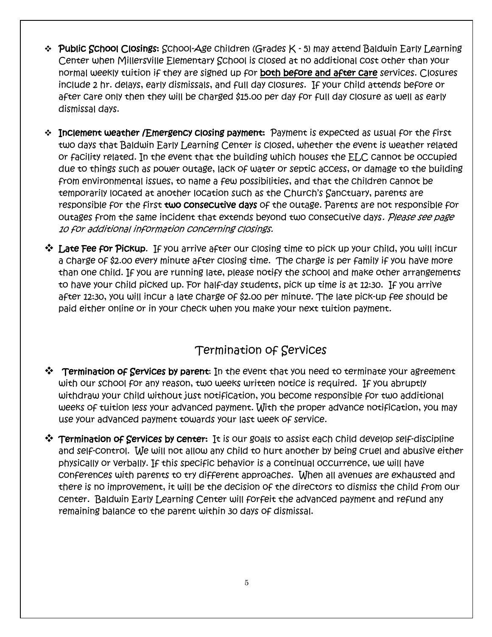- v Public School Closings: School-Age children (Grades K 5) may attend Baldwin Early Learning Center when Millersville Elementary School is closed at no additional cost other than your normal weekly tuition if they are signed up for both before and after care services. Closures include 2 hr. delays, early dismissals, and full day closures. If your child attends before or after care only then they will be charged \$15.00 per day for full day closure as well as early dismissal days.
- \* Inclement weather /Emergency closing payment: Payment is expected as usual for the first two days that Baldwin Early Learning Center is closed, whether the event is weather related or facility related. In the event that the building which houses the ELC cannot be occupied due to things such as power outage, lack of water or septic access, or damage to the building from environmental issues, to name a few possibilities, and that the children cannot be temporarily located at another location such as the Church's Sanctuary, parents are responsible for the first two consecutive days of the outage. Parents are not responsible for outages from the same incident that extends beyond two consecutive days. Please see page 10 for additional information concerning closings.
- $\clubsuit$  Late Fee for Pickup. If you arrive after our closing time to pick up your child, you will incur a charge of \$2.00 every minute after closing time. The charge is per family if you have more than one child. If you are running late, please notify the school and make other arrangements to have your child picked up. For half-day students, pick up time is at 12:30. If you arrive after 12:30, you will incur a late charge of \$2.00 per minute. The late pick-up fee should be paid either online or in your check when you make your next tuition payment.

#### Termination of Services

- $\mathbf{\hat{P}}$  Termination of Services by parent: In the event that you need to terminate your agreement with our school for any reason, two weeks written notice is required. If you abruptly withdraw your child without just notification, you become responsible for two additional weeks of tuition less your advanced payment. With the proper advance notification, you may use your advanced payment towards your last week of service.
- $\clubsuit$  Termination of Services by center: It is our goals to assist each child develop self-discipline and self-control. We will not allow any child to hurt another by being cruel and abusive either physically or verbally. If this specific behavior is a continual occurrence, we will have conferences with parents to try different approaches. When all avenues are exhausted and there is no improvement, it will be the decision of the directors to dismiss the child from our center. Baldwin Early Learning Center will forfeit the advanced payment and refund any remaining balance to the parent within 30 days of dismissal.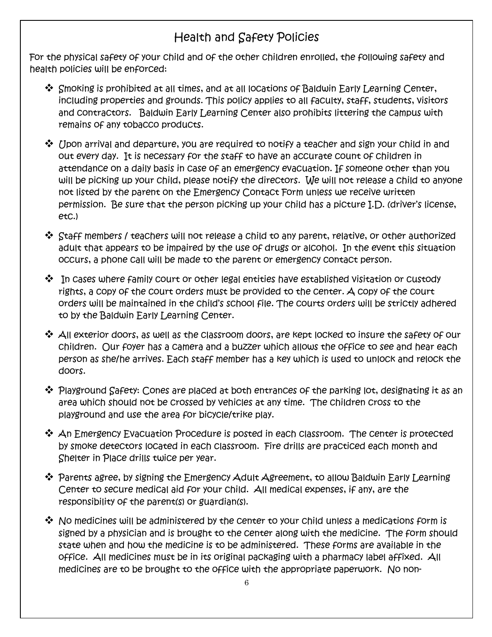### Health and Safety Policies

For the physical safety of your child and of the other children enrolled, the following safety and health policies will be enforced:

- $\clubsuit$  Smoking is prohibited at all times, and at all locations of Baldwin Early Learning Center, including properties and grounds. This policy applies to all faculty, staff, students, visitors and contractors. Baldwin Early Learning Center also prohibits littering the campus with remains of any tobacco products.
- $\clubsuit$  Upon arrival and departure, you are required to notify a teacher and sign your child in and out every day. It is necessary for the staff to have an accurate count of children in attendance on a daily basis in case of an emergency evacuation. If someone other than you will be picking up your child, please notify the directors. We will not release a child to anyone not listed by the parent on the Emergency Contact Form unless we receive written permission. Be sure that the person picking up your child has a picture I.D. (driver's license, etc.)
- $\clubsuit$  Staff members / teachers will not release a child to any parent, relative, or other authorized adult that appears to be impaired by the use of drugs or alcohol. In the event this situation occurs, a phone call will be made to the parent or emergency contact person.
- $\clubsuit$  In cases where family court or other legal entities have established visitation or custody rights, a copy of the court orders must be provided to the center. A copy of the court orders will be maintained in the child's school file. The courts orders will be strictly adhered to by the Baldwin Early Learning Center.
- $\clubsuit$  All exterior doors, as well as the classroom doors, are kept locked to insure the safety of our children. Our foyer has a camera and a buzzer which allows the office to see and hear each person as she/he arrives. Each staff member has a key which is used to unlock and relock the doors.
- $\clubsuit$  Playground Safety: Cones are placed at both entrances of the parking lot, designating it as an area which should not be crossed by vehicles at any time. The children cross to the playground and use the area for bicycle/trike play.
- $\clubsuit$  An Emergency Evacuation Procedure is posted in each classroom. The center is protected by smoke detectors located in each classroom. Fire drills are practiced each month and Shelter in Place drills twice per year.
- $\boldsymbol{\hat{\cdot}}$  Parents agree, by signing the Emergency Adult Agreement, to allow Baldwin Early Learning Center to secure medical aid for your child. All medical expenses, if any, are the responsibility of the parent(s) or guardian(s).
- $\clubsuit$  No medicines will be administered by the center to your child unless a medications form is signed by a physician and is brought to the center along with the medicine. The form should state when and how the medicine is to be administered. These forms are available in the office. All medicines must be in its original packaging with a pharmacy label affixed. All medicines are to be brought to the office with the appropriate paperwork. No non-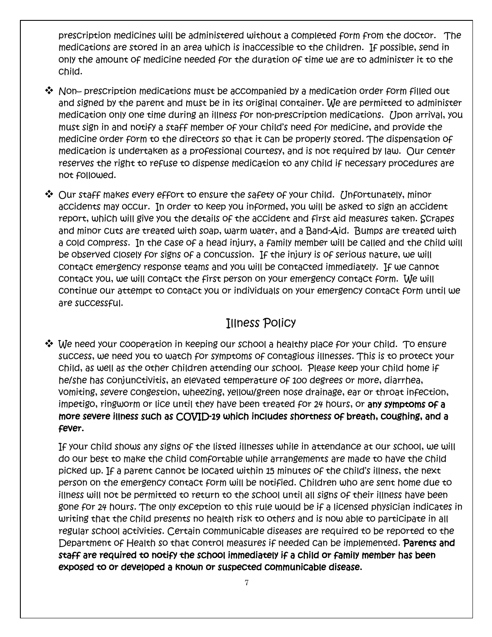prescription medicines will be administered without a completed form from the doctor. The medications are stored in an area which is inaccessible to the children. If possible, send in only the amount of medicine needed for the duration of time we are to administer it to the child.

- $\clubsuit$  Non– prescription medications must be accompanied by a medication order form filled out and signed by the parent and must be in its original container. We are permitted to administer medication only one time during an illness for non-prescription medications. Upon arrival, you must sign in and notify a staff member of your child's need for medicine, and provide the medicine order form to the directors so that it can be properly stored. The dispensation of medication is undertaken as a professional courtesy, and is not required by law. Our center reserves the right to refuse to dispense medication to any child if necessary procedures are not followed.
- $\clubsuit$  Our staff makes every effort to ensure the safety of your child. [Jnfortunately, minor accidents may occur. In order to keep you informed, you will be asked to sign an accident report, which will give you the details of the accident and first aid measures taken. Scrapes and minor cuts are treated with soap, warm water, and a Band-Aid. Bumps are treated with a cold compress. In the case of a head injury, a family member will be called and the child will be observed closely for signs of a concussion. If the injury is of serious nature, we will contact emergency response teams and you will be contacted immediately. If we cannot contact you, we will contact the first person on your emergency contact form. We will continue our attempt to contact you or individuals on your emergency contact form until we are successful.

#### Illness Policy

v We need your cooperation in keeping our school a healthy place for your child. To ensure success, we need you to watch for symptoms of contagious illnesses. This is to protect your child, as well as the other children attending our school. Please keep your child home if he/she has conjunctivitis, an elevated temperature of 100 degrees or more, diarrhea, vomiting, severe congestion, wheezing, yellow/green nose drainage, ear or throat infection, impetigo, ringworm or lice until they have been treated for 24 hours, or any symptoms of a more severe illness such as COVID-19 which includes shortness of breath, coughing, and a fever.

If your child shows any signs of the listed illnesses while in attendance at our school, we will do our best to make the child comfortable while arrangements are made to have the child picked up. If a parent cannot be located within 15 minutes of the child's illness, the next person on the emergency contact form will be notified. Children who are sent home due to illness will not be permitted to return to the school until all signs of their illness have been gone for 24 hours. The only exception to this rule would be if a licensed physician indicates in writing that the child presents no health risk to others and is now able to participate in all regular school activities. Certain communicable diseases are required to be reported to the Department of Health so that control measures if needed can be implemented. Parents and staff are required to notify the school immediately if a child or family member has been exposed to or developed a known or suspected communicable disease.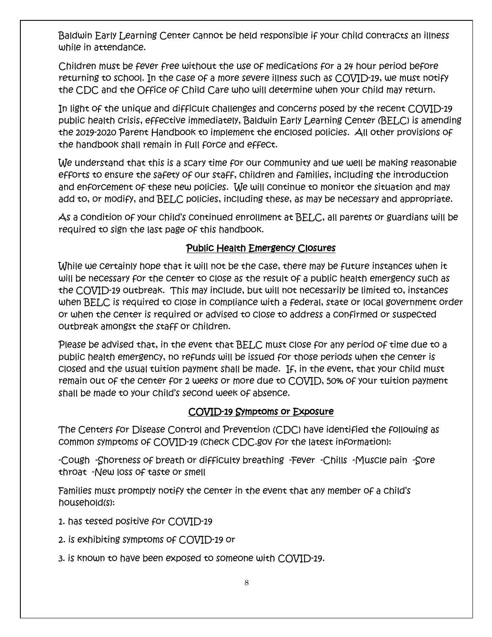Baldwin Early Learning Center cannot be held responsible if your child contracts an illness while in attendance.

Children must be fever free without the use of medications for a 24 hour period before returning to school. In the case of a more severe illness such as COVID-19, we must notify the CDC and the Office of Child Care who will determine when your child may return.

In light of the unique and difficult challenges and concerns posed by the recent COVID-19 public health crisis, effective immediately, Baldwin Early Learning Center (BELC) is amending the 2019-2020 Parent Handbook to implement the enclosed policies. All other provisions of the handbook shall remain in full force and effect.

We understand that this is a scary time for our community and we well be making reasonable efforts to ensure the safety of our staff, children and families, including the introduction and enforcement of these new policies. We will continue to monitor the situation and may add to, or modify, and BELC policies, including these, as may be necessary and appropriate.

As a condition of your child's continued enrollment at BELC, all parents or guardians will be required to sign the last page of this handbook.

#### Public Health Emergency Closures

While we certainly hope that it will not be the case, there may be future instances when it will be necessary for the center to close as the result of a public health emergency such as the COVID-19 outbreak. This may include, but will not necessarily be limited to, instances when BELC is required to close in compliance with a federal, state or local government order or when the center is required or advised to close to address a confirmed or suspected outbreak amongst the staff or children.

Please be advised that, in the event that BELC must close for any period of time due to a public health emergency, no refunds will be issued for those periods when the center is closed and the usual tuition payment shall be made. If, in the event, that your child must remain out of the center for 2 weeks or more due to COVID, 50% of your tuition payment shall be made to your child's second week of absence.

#### COVID-19 Symptoms or Exposure

The Centers for Disease Control and Prevention (CDC) have identified the following as common symptoms of COVID-19 (check CDC.gov for the latest information):

-Cough -Shortness of breath or difficulty breathing -Fever -Chills -Muscle pain -Sore throat -New loss of taste or smell

Families must promptly notify the center in the event that any member of a child's household(s):

- 1. has tested positive for COVID-19
- 2. is exhibiting symptoms of COVID-19 or
- 3. is known to have been exposed to someone with COVID-19.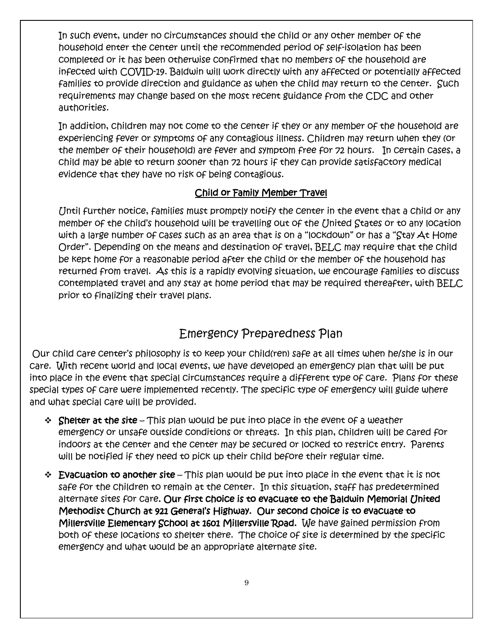In such event, under no circumstances should the child or any other member of the household enter the center until the recommended period of self-isolation has been completed or it has been otherwise confirmed that no members of the household are infected with COVID-19. Baldwin will work directly with any affected or potentially affected families to provide direction and guidance as when the child may return to the center. Such requirements may change based on the most recent guidance from the CDC and other authorities.

In addition, children may not come to the center if they or any member of the household are experiencing fever or symptoms of any contagious illness. Children may return when they (or the member of their household) are fever and symptom free for 72 hours. In certain cases, a child may be able to return sooner than 72 hours if they can provide satisfactory medical evidence that they have no risk of being contagious.

#### Child or Family Member Travel

Until further notice, families must promptly notify the center in the event that a child or any member of the child's household will be travelling out of the United States or to any location with a large number of cases such as an area that is on a "lockdown" or has a "Stay At Home Order". Depending on the means and destination of travel, BELC may require that the child be kept home for a reasonable period after the child or the member of the household has returned from travel. As this is a rapidly evolving situation, we encourage families to discuss contemplated travel and any stay at home period that may be required thereafter, with BELC prior to finalizing their travel plans.

### Emergency Preparedness Plan

Our child care center's philosophy is to keep your child(ren) safe at all times when he/she is in our care. With recent world and local events, we have developed an emergency plan that will be put into place in the event that special circumstances require a different type of care. Plans for these special types of care were implemented recently. The specific type of emergency will guide where and what special care will be provided.

- $\div$  Shelter at the site This plan would be put into place in the event of a weather emergency or unsafe outside conditions or threats. In this plan, children will be cared for indoors at the center and the center may be secured or locked to restrict entry. Parents will be notified if they need to pick up their child before their regular time.
- $\div$  Evacuation to another site This plan would be put into place in the event that it is not safe for the children to remain at the center. In this situation, staff has predetermined alternate sites for care. Our first choice is to evacuate to the Baldwin Memorial United Methodist Church at 921 General's Highway. Our second choice is to evacuate to Millersville Elementary School at 1601 Millersville Road. We have gained permission from both of these locations to shelter there. The choice of site is determined by the specific emergency and what would be an appropriate alternate site.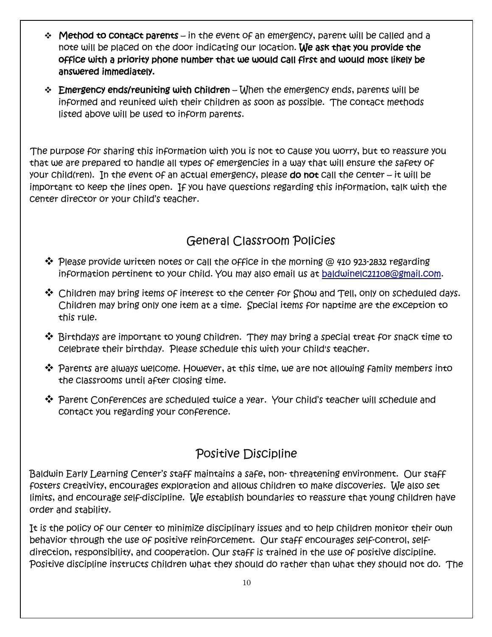- $\div$  Method to contact parents in the event of an emergency, parent will be called and a note will be placed on the door indicating our location. We ask that you provide the office with a priority phone number that we would call first and would most likely be answered immediately.
- $\div$  Emergency ends/reuniting with children When the emergency ends, parents will be informed and reunited with their children as soon as possible. The contact methods listed above will be used to inform parents.

 The purpose for sharing this information with you is not to cause you worry, but to reassure you that we are prepared to handle all types of emergencies in a way that will ensure the safety of your child(ren). In the event of an actual emergency, please do not call the center – it will be important to keep the lines open. If you have questions regarding this information, talk with the center director or your child's teacher.

### General Classroom Policies

- $\clubsuit$  Please provide written notes or call the office in the morning @ 410 923-2832 regarding information pertinent to your child. You may also email us at baldwinelc21108@gmail.com.
- $\clubsuit$  Children may bring items of interest to the center for Show and Tell, only on scheduled days. Children may bring only one item at a time. Special items for naptime are the exception to this rule.
- $\clubsuit$  Birthdays are important to young children. They may bring a special treat for snack time to celebrate their birthday. Please schedule this with your child's teacher.
- $\clubsuit$  Parents are always welcome. However, at this time, we are not allowing family members into the classrooms until after closing time.
- **\*** Parent Conferences are scheduled twice a year. Your child's teacher will schedule and contact you regarding your conference.

### Positive Discipline

Baldwin Early Learning Center's staff maintains a safe, non- threatening environment. Our staff fosters creativity, encourages exploration and allows children to make discoveries. We also set limits, and encourage self-discipline. We establish boundaries to reassure that young children have order and stability.

It is the policy of our center to minimize disciplinary issues and to help children monitor their own behavior through the use of positive reinforcement. Our staff encourages self-control, selfdirection, responsibility, and cooperation. Our staff is trained in the use of positive discipline. Positive discipline instructs children what they should do rather than what they should not do. The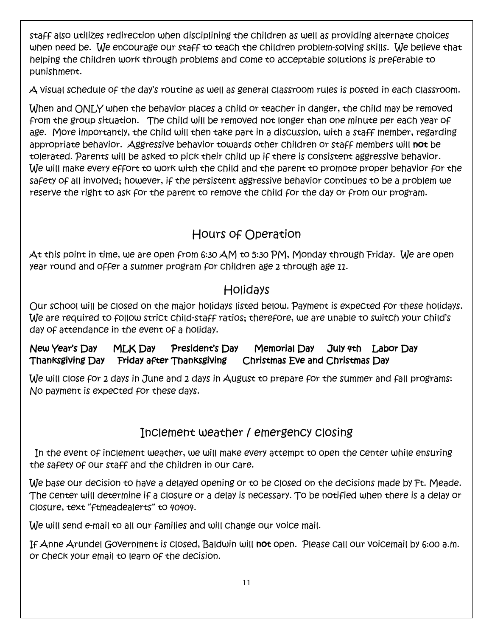staff also utilizes redirection when disciplining the children as well as providing alternate choices when need be. We encourage our staff to teach the children problem-solving skills. We believe that helping the children work through problems and come to acceptable solutions is preferable to punishment.

A visual schedule of the day's routine as well as general classroom rules is posted in each classroom.

When and ONLY when the behavior places a child or teacher in danger, the child may be removed from the group situation. The child will be removed not longer than one minute per each year of age. More importantly, the child will then take part in a discussion, with a staff member, regarding appropriate behavior. Aggressive behavior towards other children or staff members will not be tolerated. Parents will be asked to pick their child up if there is consistent aggressive behavior. We will make every effort to work with the child and the parent to promote proper behavior for the safety of all involved; however, if the persistent aggressive behavior continues to be a problem we reserve the right to ask for the parent to remove the child for the day or from our program.

### Hours of Operation

At this point in time, we are open from 6:30 AM to 5:30 PM, Monday through Friday. We are open year round and offer a summer program for children age 2 through age 11.

### Holidays

Our school will be closed on the major holidays listed below. Payment is expected for these holidays. We are required to follow strict child-staff ratios; therefore, we are unable to switch your child's day of attendance in the event of a holiday.

#### New Year's Day MLK Day President's Day Memorial Day July 4th Labor Day Thanksgiving Day Friday after Thanksgiving Christmas Eve and Christmas Day

We will close for 2 days in June and 2 days in August to prepare for the summer and fall programs: No payment is expected for these days.

### Inclement weather / emergency closing

 In the event of inclement weather, we will make every attempt to open the center while ensuring the safety of our staff and the children in our care.

We base our decision to have a delayed opening or to be closed on the decisions made by Ft. Meade. The center will determine if a closure or a delay is necessary. To be notified when there is a delay or closure, text "ftmeadealerts" to 40404.

We will send e-mail to all our families and will change our voice mail.

If Anne Arundel Government is closed, Baldwin will not open. Please call our voicemail by 6:00 a.m. or check your email to learn of the decision.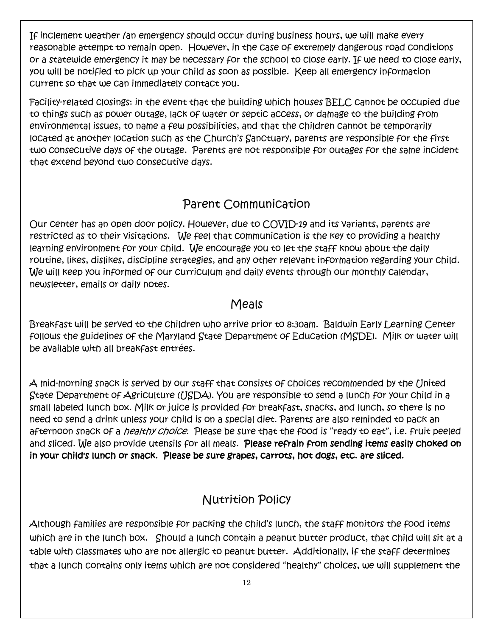If inclement weather /an emergency should occur during business hours, we will make every reasonable attempt to remain open. However, in the case of extremely dangerous road conditions or a statewide emergency it may be necessary for the school to close early. If we need to close early, you will be notified to pick up your child as soon as possible. Keep all emergency information current so that we can immediately contact you.

Facility-related closings: in the event that the building which houses BELC cannot be occupied due to things such as power outage, lack of water or septic access, or damage to the building from environmental issues, to name a few possibilities, and that the children cannot be temporarily located at another location such as the Church's Sanctuary, parents are responsible for the first two consecutive days of the outage. Parents are not responsible for outages for the same incident that extend beyond two consecutive days.

#### Parent Communication

Our center has an open door policy. However, due to COVID-19 and its variants, parents are restricted as to their visitations. We feel that communication is the key to providing a healthy learning environment for your child. We encourage you to let the staff know about the daily routine, likes, dislikes, discipline strategies, and any other relevant information regarding your child. We will keep you informed of our curriculum and daily events through our monthly calendar, newsletter, emails or daily notes.

#### Meals

Breakfast will be served to the children who arrive prior to 8:30am. Baldwin Early Learning Center follows the guidelines of the Maryland State Department of Education (MSDE). Milk or water will be available with all breakfast entrées.

A mid-morning snack is served by our staff that consists of choices recommended by the United State Department of Agriculture (USDA). You are responsible to send a lunch for your child in a small labeled lunch box. Milk or juice is provided for breakfast, snacks, and lunch, so there is no need to send a drink unless your child is on a special diet. Parents are also reminded to pack an afternoon snack of a *healthy choice*. Please be sure that the food is "ready to eat", i.e. fruit peeled and sliced. We also provide utensils for all meals. Please refrain from sending items easily choked on in your child's lunch or snack. Please be sure grapes, carrots, hot dogs, etc. are sliced.

### Nutrition Policy

Although families are responsible for packing the child's lunch, the staff monitors the food items which are in the lunch box. Should a lunch contain a peanut butter product, that child will sit at a table with classmates who are not allergic to peanut butter. Additionally, if the staff determines that a lunch contains only items which are not considered "healthy" choices, we will supplement the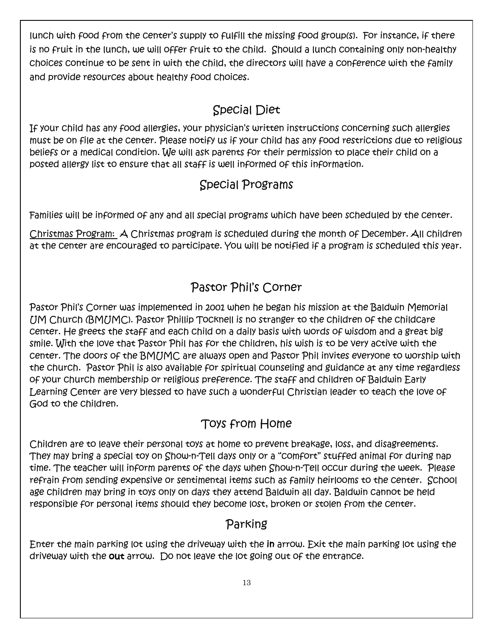lunch with food from the center's supply to fulfill the missing food group(s). For instance, if there is no fruit in the lunch, we will offer fruit to the child. Should a lunch containing only non-healthy choices continue to be sent in with the child, the directors will have a conference with the family and provide resources about healthy food choices.

### Special Diet

If your child has any food allergies, your physician's written instructions concerning such allergies must be on file at the center. Please notify us if your child has any food restrictions due to religious beliefs or a medical condition. We will ask parents for their permission to place their child on a posted allergy list to ensure that all staff is well informed of this information.

### Special Programs

Families will be informed of any and all special programs which have been scheduled by the center.

Christmas Program: A Christmas program is scheduled during the month of December. All children at the center are encouraged to participate. You will be notified if a program is scheduled this year.

### Pastor Phil's Corner

Pastor Phil's Corner was implemented in 2001 when he began his mission at the Baldwin Memorial UM Church (BMUMC). Pastor Phillip Tocknell is no stranger to the children of the childcare center. He greets the staff and each child on a daily basis with words of wisdom and a great big smile. With the love that Pastor Phil has for the children, his wish is to be very active with the center. The doors of the BMUMC are always open and Pastor Phil invites everyone to worship with the church. Pastor Phil is also available for spiritual counseling and guidance at any time regardless of your church membership or religious preference. The staff and children of Baldwin Early Learning Center are very blessed to have such a wonderful Christian leader to teach the love of God to the children.

### Toys from Home

Children are to leave their personal toys at home to prevent breakage, loss, and disagreements. They may bring a special toy on Show-n-Tell days only or a "comfort" stuffed animal for during nap time. The teacher will inform parents of the days when Show-n-Tell occur during the week. Please refrain from sending expensive or sentimental items such as family heirlooms to the center. School age children may bring in toys only on days they attend Baldwin all day. Baldwin cannot be held responsible for personal items should they become lost, broken or stolen from the center.

### Parking

Enter the main parking lot using the driveway with the in arrow. Exit the main parking lot using the driveway with the out arrow. Do not leave the lot going out of the entrance.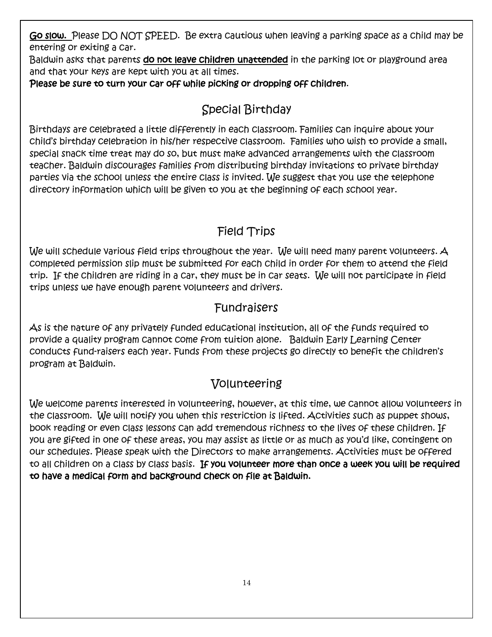Go slow. Please DO NOT SPEED. Be extra cautious when leaving a parking space as a child may be entering or exiting a car.

Baldwin asks that parents do not leave children unattended in the parking lot or playground area and that your keys are kept with you at all times.

Please be sure to turn your car off while picking or dropping off children.

### Special Birthday

Birthdays are celebrated a little differently in each classroom. Families can inquire about your child's birthday celebration in his/her respective classroom. Families who wish to provide a small, special snack time treat may do so, but must make advanced arrangements with the classroom teacher. Baldwin discourages families from distributing birthday invitations to private birthday parties via the school unless the entire class is invited. We suggest that you use the telephone directory information which will be given to you at the beginning of each school year.

### Field Trips

We will schedule various field trips throughout the year. We will need many parent volunteers. A completed permission slip must be submitted for each child in order for them to attend the field trip. If the children are riding in a car, they must be in car seats. We will not participate in field trips unless we have enough parent volunteers and drivers.

### Fundraisers

As is the nature of any privately funded educational institution, all of the funds required to provide a quality program cannot come from tuition alone. Baldwin Early Learning Center conducts fund-raisers each year. Funds from these projects go directly to benefit the children's program at Baldwin.

### Volunteering

We welcome parents interested in volunteering, however, at this time, we cannot allow volunteers in the classroom. We will notify you when this restriction is lifted. Activities such as puppet shows, book reading or even class lessons can add tremendous richness to the lives of these children. If you are gifted in one of these areas, you may assist as little or as much as you'd like, contingent on our schedules. Please speak with the Directors to make arrangements. Activities must be offered to all children on a class by class basis. If you volunteer more than once a week you will be required to have a medical form and background check on file at Baldwin.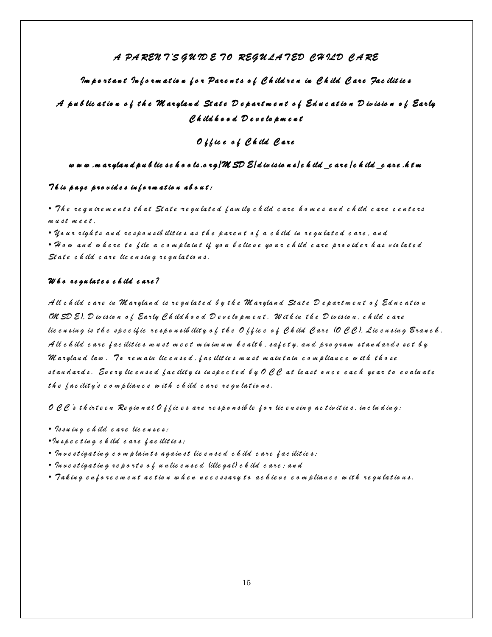#### *A PA REN T 'S G U ID E T O REG U LA T ED C H ILD C A RE*

#### *Im p o r t a n t In f o r m a t io n f o r Pa r e n t s o f C h ild r e n in C h ild C a r e Fa c ilit ie s*

#### *A p u b lic a t io n o f t h e M a r yla n d St a t e D e p a r t m e n t o f Ed u c a t io n D iv is io n o f Ea r ly C h ild h o o d D e v e lo p m e n t*

#### *O f f ic e o f C h ild C are*

#### *w w w .m a r yla n d p u b lic s c h o o ls .o r g /M SD E/d iv is io n s /c h ild \_c a r e /c h ild \_c a r e .h t m*

#### *T h is p age p r o v id e s in f o r m at io n ab o u t :*

*• T h e r e q u ir e m e n t s t h a t St a t e -re gu lat e d f am ily c h ild c are h o m e s an d c h ild c are c e n t e rs*   $m$  u st meet.

*• Yo u r r igh t s an d r e sp o n sib ilit ie s as t h e p ar e n t o f a c h ild in r e gu la t e d c a r e , a n d*

*• H o w an d w h e r e t o f ile a c o m p lain t if yo u b e lie v e yo u r c h ild c ar e p r o v id e r h as v io lat e d*  State child care licensing regulations.

#### *W h o re gu lat e s c h ild c are ?*

*A ll c h ild c a r e in M a r yla n d is r e gu la t e d b y t h e M a r yla n d St a t e D e p art m e n t o f Ed u c at io n (M SD E), D iv isio n o f Ea r ly C h ild h o o d D e v e lo p m e n t . W it h in t h e D iv is io n , c h ild c a r e lic e n sin g is t h e sp e c if ic r e s p o n sib ilit y o f t h e O f f ic e o f C h ild C a r e (O C C ), Lic e n sin g B r a n c h . A ll c h ild c a r e f a c ilit ie s m u s t m e e t m in im u m h e a lt h , sa f e t y, an d p r o gr a m s t a n d a r d s s e t b y M a r ylan d la w . T o r e m a in lic e n s e d , f a c ilit ie s m u s t m a in t ain c o m p lian c e w it h t h o s e s t a n d ar d s . Ev e r y lic e n s e d f a c ilit y is in sp e c t e d b y O C C a t le a s t o n c e e a c h ye a r t o e v a lu a t e*  the facility's compliance with child care regulations.

*O C C 's t h ir t e e n Re gio n a l O f f ic e s a r e r e s p o n s ib le f o r lic e n sin g a c t iv it ie s , in c lu d in g:* 

- *Is s u in g c h ild c a r e lic e n s e s ;*
- *•In s p e c t in g c h ild c a r e f a c ilit ie s;*
- *In v e s t iga t in g c o m p lain t s a ga in s t lic e n s e d c h ild c a r e f a c ilit ie s;*
- *In v e s t iga t in g r e p o r t s o f u n lic e n s e d (ille ga l) c h ild c a r e ; an d*
- *T a k in g e n f o r c e m e n t a c t io n w h e n n e c e s s a r y t o a c h ie v e c o m p lia n c e w it h r e gu la t io n s.*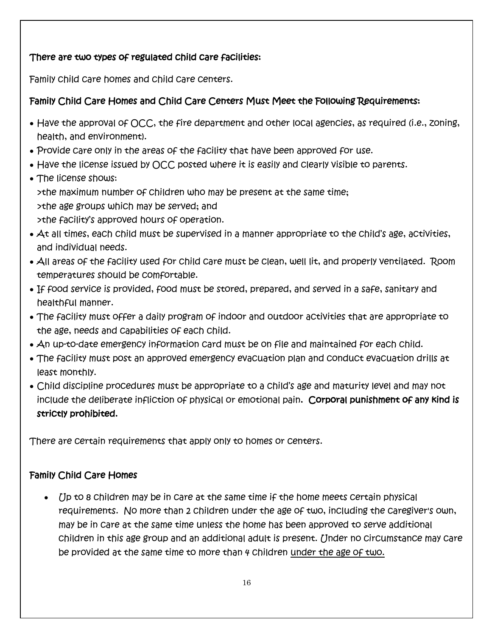#### There are two types of regulated child care facilities:

Family child care homes and child care centers.

#### Family Child Care Homes and Child Care Centers Must Meet the Following Requirements:

- Have the approval of OCC, the fire department and other local agencies, as required (i.e., zoning, health, and environment).
- Provide care only in the areas of the facility that have been approved for use.
- Have the license issued by OCC posted where it is easily and clearly visible to parents.
- The license shows: >the maximum number of children who may be present at the same time; >the age groups which may be served; and >the facility's approved hours of operation.
- At all times, each child must be supervised in a manner appropriate to the child's age, activities, and individual needs.
- All areas of the facility used for child care must be clean, well lit, and properly ventilated. Room temperatures should be comfortable.
- If food service is provided, food must be stored, prepared, and served in a safe, sanitary and healthful manner.
- The facility must offer a daily program of indoor and outdoor activities that are appropriate to the age, needs and capabilities of each child.
- An up-to-date emergency information card must be on file and maintained for each child.
- The facility must post an approved emergency evacuation plan and conduct evacuation drills at least monthly.
- Child discipline procedures must be appropriate to a child's age and maturity level and may not include the deliberate infliction of physical or emotional pain. Corporal punishment of any kind is strictly prohibited.

There are certain requirements that apply only to homes or centers.

#### Family Child Care Homes

• *(Ip to 8 children may be in care at the same time if the home meets certain physical* requirements. No more than 2 children under the age of two, including the caregiver's own, may be in care at the same time unless the home has been approved to serve additional children in this age group and an additional adult is present. Under no circumstance may care be provided at the same time to more than 4 children under the age of two.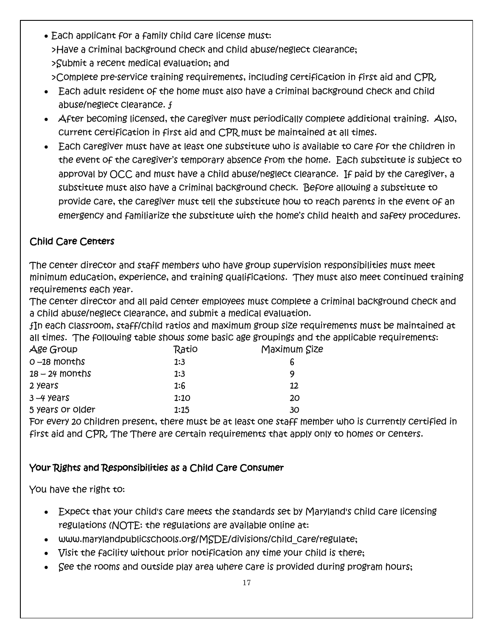• Each applicant for a family child care license must: >Have a criminal background check and child abuse/neglect clearance; >Submit a recent medical evaluation; and

>Complete pre-service training requirements, including certification in first aid and CPR.

- Each adult resident of the home must also have a criminal background check and child abuse/neglect clearance. ƒ
- After becoming licensed, the caregiver must periodically complete additional training. Also, current certification in first aid and CPR must be maintained at all times.
- Each caregiver must have at least one substitute who is available to care for the children in the event of the caregiver's temporary absence from the home. Each substitute is subject to approval by OCC and must have a child abuse/neglect clearance. If paid by the caregiver, a substitute must also have a criminal background check. Before allowing a substitute to provide care, the caregiver must tell the substitute how to reach parents in the event of an emergency and familiarize the substitute with the home's child health and safety procedures.

#### Child Care Centers

The center director and staff members who have group supervision responsibilities must meet minimum education, experience, and training qualifications. They must also meet continued training requirements each year.

The center director and all paid center employees must complete a criminal background check and a child abuse/neglect clearance, and submit a medical evaluation.

ƒIn each classroom, staff/child ratios and maximum group size requirements must be maintained at all times. The following table shows some basic age groupings and the applicable requirements:

| Age Group        | Ratio | Maximum Size |
|------------------|-------|--------------|
| $0 - 18$ months  | 1:3   |              |
| $18 - 24$ months | 1:3   | q            |
| 2 years          | 1:6   | 12           |
| $3 - 4$ years    | 1:10  | 20           |
| 5 years or older | 1:15  | 30           |

For every 20 children present, there must be at least one staff member who is currently certified in first aid and CPR. The There are certain requirements that apply only to homes or centers.

#### Your Rights and Responsibilities as a Child Care Consumer

You have the right to:

- Expect that your child's care meets the standards set by Maryland's child care licensing regulations (NOTE: the regulations are available online at:
- www.marylandpublicschools.org/MSDE/divisions/child\_care/regulate;
- Visit the facility without prior notification any time your child is there;
- See the rooms and outside play area where care is provided during program hours;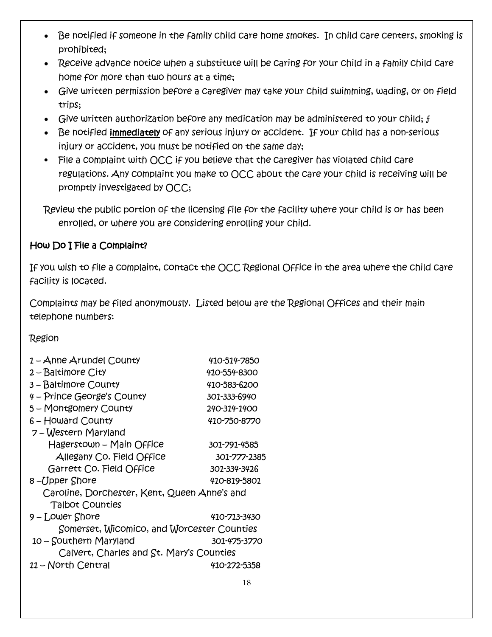- Be notified if someone in the family child care home smokes. In child care centers, smoking is prohibited;
- Receive advance notice when a substitute will be caring for your child in a family child care home for more than two hours at a time;
- Give written permission before a caregiver may take your child swimming, wading, or on field trips;
- Give written authorization before any medication may be administered to your child;  $f$
- Be notified immediately of any serious injury or accident. If your child has a non-serious injury or accident, you must be notified on the same day;
- File a complaint with OCC if you believe that the caregiver has violated child care regulations. Any complaint you make to OCC about the care your child is receiving will be promptly investigated by OCC;

Review the public portion of the licensing file for the facility where your child is or has been enrolled, or where you are considering enrolling your child.

#### How Do I File a Complaint?

If you wish to file a complaint, contact the OCC Regional Office in the area where the child care facility is located.

Complaints may be filed anonymously. Listed below are the Regional Offices and their main telephone numbers:

Region

| 1 - Anne Arundel County                      | 410-514-7850 |  |
|----------------------------------------------|--------------|--|
| $2 -$ Baltimore City                         | 410-554-8300 |  |
| 3-Baltimore County                           | 410-583-6200 |  |
| 4 – Prince George's County                   | 301-333-6940 |  |
| 5 - Montgomery County                        | 240-314-1400 |  |
| $6 -$ Howard County                          | 410-750-8770 |  |
| 7 – Western Maryland                         |              |  |
| Hagerstown - Main Office                     | 301-791-4585 |  |
| Allegany Co. Field Office                    | 301-777-2385 |  |
| Garrett Co. Field Office                     | 301-334-3426 |  |
| 8 –Upper Shore                               | 410-819-5801 |  |
| Caroline, Dorchester, Kent, Queen Anne's and |              |  |
| <b>Talbot Counties</b>                       |              |  |
| 9 – Lower Shore                              | 410-713-3430 |  |
| Somerset, Wicomico, and Worcester Counties   |              |  |
| 10 - Southern Maryland                       | 301-475-3770 |  |
| Calvert, Charles and St. Mary's Counties     |              |  |
| 11 - North Central                           | 410-272-5358 |  |
|                                              |              |  |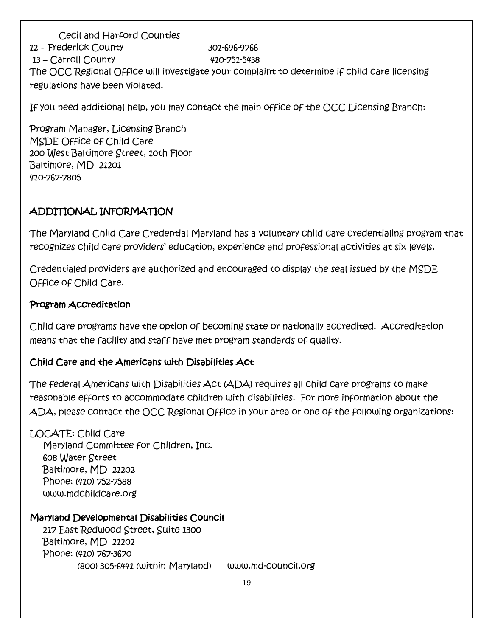Cecil and Harford Counties 12 – Frederick County 301-696-9766 13 – Carroll County 410-751-5438 The OCC Regional Office will investigate your complaint to determine if child care licensing regulations have been violated.

If you need additional help, you may contact the main office of the OCC Licensing Branch:

Program Manager, Licensing Branch MSDE Office of Child Care 200 West Baltimore Street, 10th Floor Baltimore, MD 21201 410-767-7805

#### ADDITIONAL INFORMATION

The Maryland Child Care Credential Maryland has a voluntary child care credentialing program that recognizes child care providers' education, experience and professional activities at six levels.

Credentialed providers are authorized and encouraged to display the seal issued by the MSDE Office of Child Care.

#### Program Accreditation

Child care programs have the option of becoming state or nationally accredited. Accreditation means that the facility and staff have met program standards of quality.

#### Child Care and the Americans with Disabilities Act

The federal Americans with Disabilities Act (ADA) requires all child care programs to make reasonable efforts to accommodate children with disabilities. For more information about the ADA, please contact the OCC Regional Office in your area or one of the following organizations:

LOCATE: Child Care Maryland Committee for Children, Inc. 608 Water Street Baltimore, MD 21202 Phone: (410) 752-7588 www.mdchildcare.org

#### Maryland Developmental Disabilities Council

 217 East Redwood Street, Suite 1300 Baltimore, MD 21202 Phone: (410) 767-3670 (800) 305-6441 (within Maryland) www.md-council.org